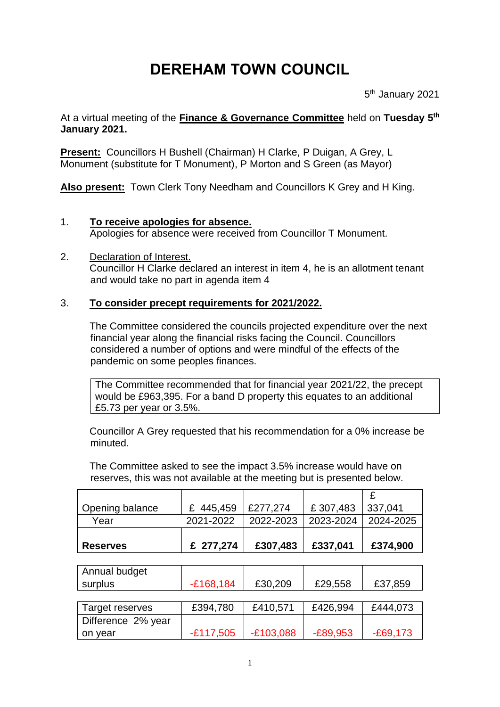## **DEREHAM TOWN COUNCIL**

5<sup>th</sup> January 2021

At a virtual meeting of the **Finance & Governance Committee** held on **Tuesday 5 th January 2021.**

**Present:** Councillors H Bushell (Chairman) H Clarke, P Duigan, A Grey, L Monument (substitute for T Monument), P Morton and S Green (as Mayor)

**Also present:** Town Clerk Tony Needham and Councillors K Grey and H King.

## 1. **To receive apologies for absence.**

Apologies for absence were received from Councillor T Monument.

2. Declaration of Interest. Councillor H Clarke declared an interest in item 4, he is an allotment tenant and would take no part in agenda item 4

## 3. **To consider precept requirements for 2021/2022.**

The Committee considered the councils projected expenditure over the next financial year along the financial risks facing the Council. Councillors considered a number of options and were mindful of the effects of the pandemic on some peoples finances.

The Committee recommended that for financial year 2021/22, the precept would be £963,395. For a band D property this equates to an additional £5.73 per year or 3.5%.

Councillor A Grey requested that his recommendation for a 0% increase be minuted.

The Committee asked to see the impact 3.5% increase would have on reserves, this was not available at the meeting but is presented below.

|                    |              |             |            | £          |
|--------------------|--------------|-------------|------------|------------|
| Opening balance    | 445,459<br>£ | £277,274    | £307,483   | 337,041    |
| Year               | 2021-2022    | 2022-2023   | 2023-2024  | 2024-2025  |
|                    |              |             |            |            |
| <b>Reserves</b>    | £ 277,274    | £307,483    | £337,041   | £374,900   |
|                    |              |             |            |            |
| Annual budget      |              |             |            |            |
| surplus            | $-E168,184$  | £30,209     | £29,558    | £37,859    |
|                    |              |             |            |            |
| Target reserves    | £394,780     | £410,571    | £426,994   | £444,073   |
| Difference 2% year |              |             |            |            |
| on year            | $-£117,505$  | $-E103,088$ | $-E89,953$ | $-E69,173$ |